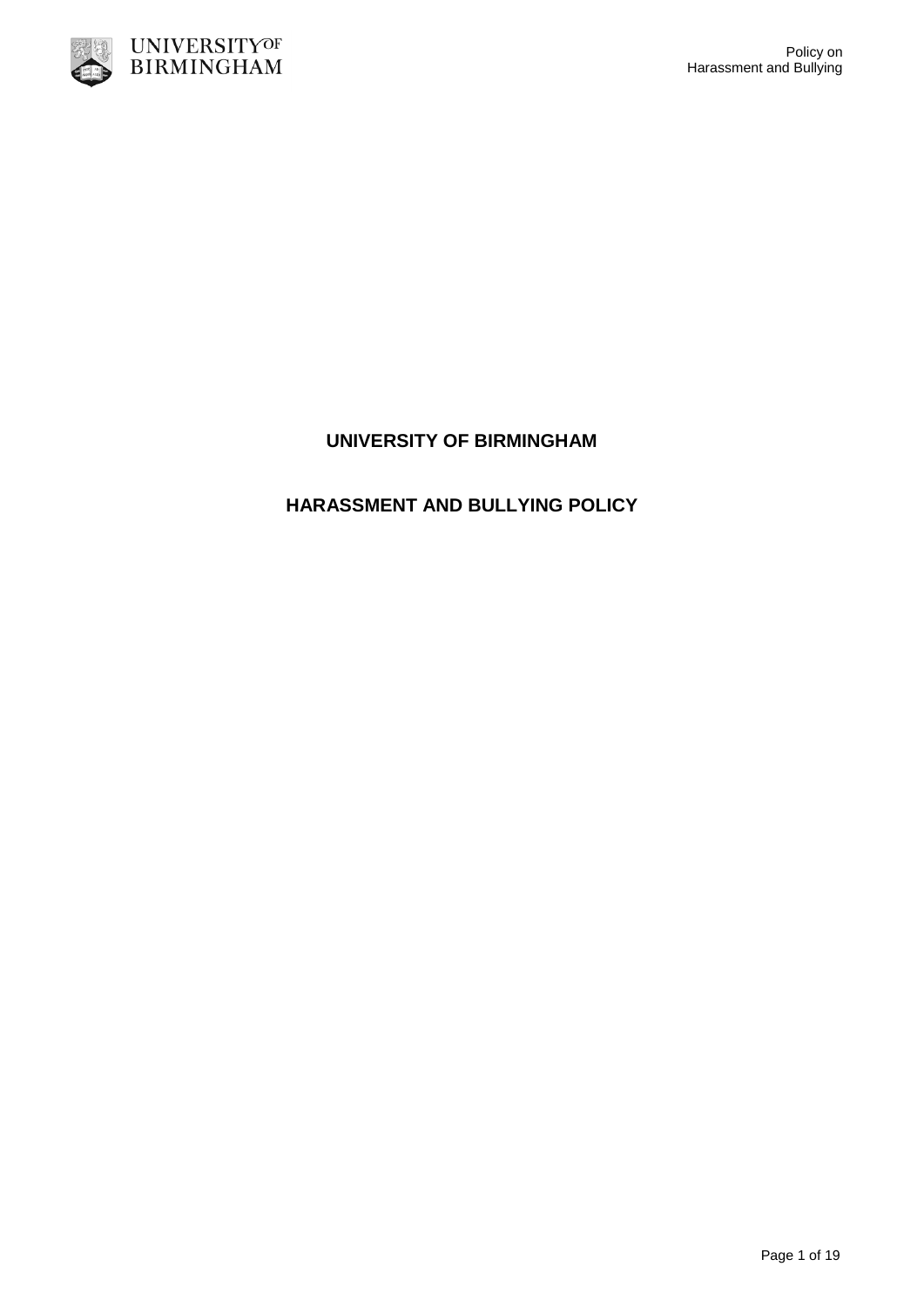

# **HARASSMENT AND BULLYING POLICY**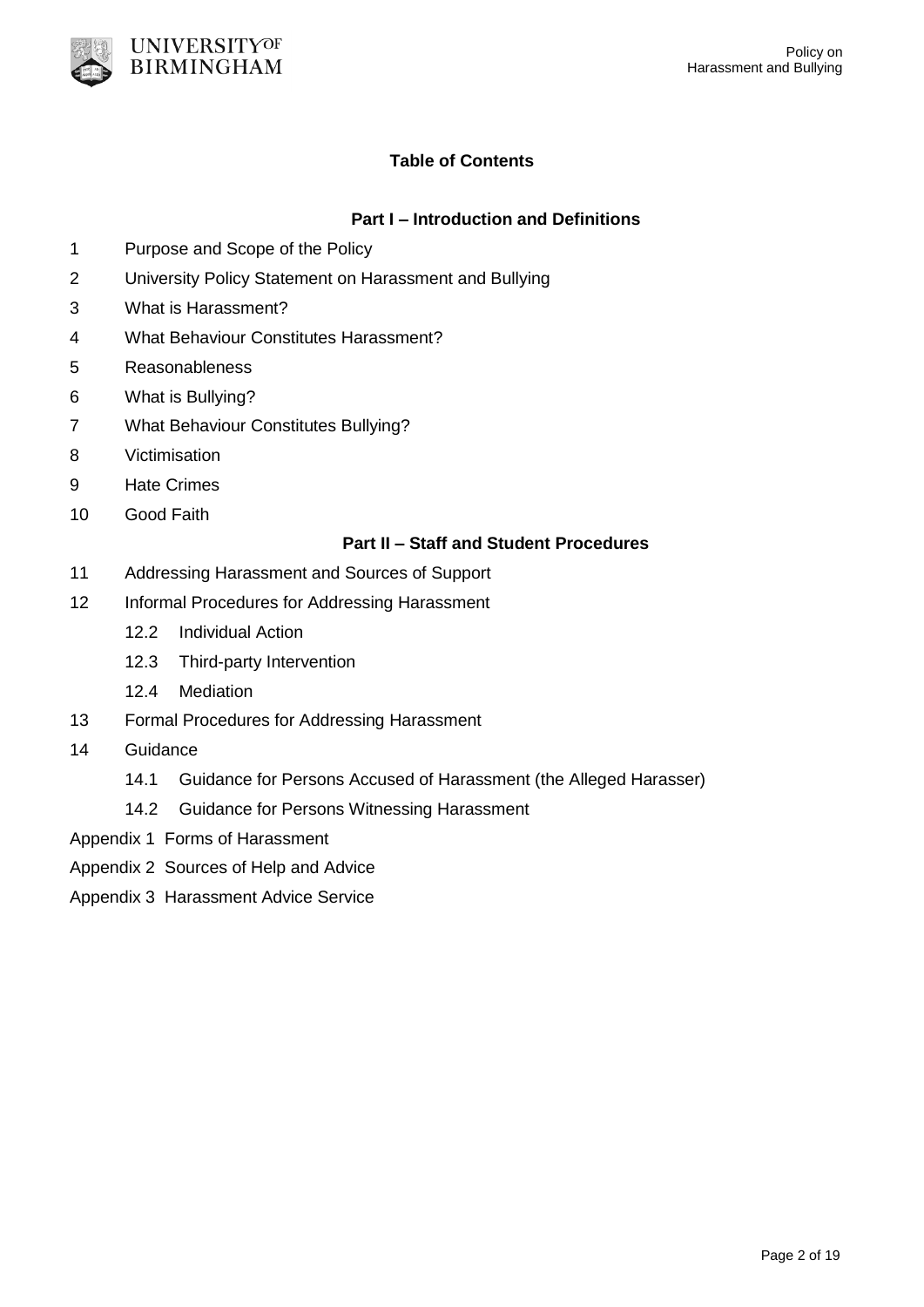

# **Table of Contents**

# **Part I – Introduction and Definitions**

- 1 Purpose and Scope of the Policy
- 2 University Policy Statement on Harassment and Bullying
- 3 What is Harassment?
- 4 What Behaviour Constitutes Harassment?
- 5 Reasonableness
- 6 What is Bullying?
- 7 What Behaviour Constitutes Bullying?
- 8 Victimisation
- 9 Hate Crimes
- 10 Good Faith

## **Part II – Staff and Student Procedures**

- 11 Addressing Harassment and Sources of Support
- 12 Informal Procedures for Addressing Harassment
	- 12.2 Individual Action
	- 12.3 Third-party Intervention
	- 12.4 Mediation
- 13 Formal Procedures for Addressing Harassment
- 14 Guidance
	- 14.1 Guidance for Persons Accused of Harassment (the Alleged Harasser)
	- 14.2 Guidance for Persons Witnessing Harassment
- Appendix 1 Forms of Harassment
- Appendix 2 Sources of Help and Advice
- Appendix 3 Harassment Advice Service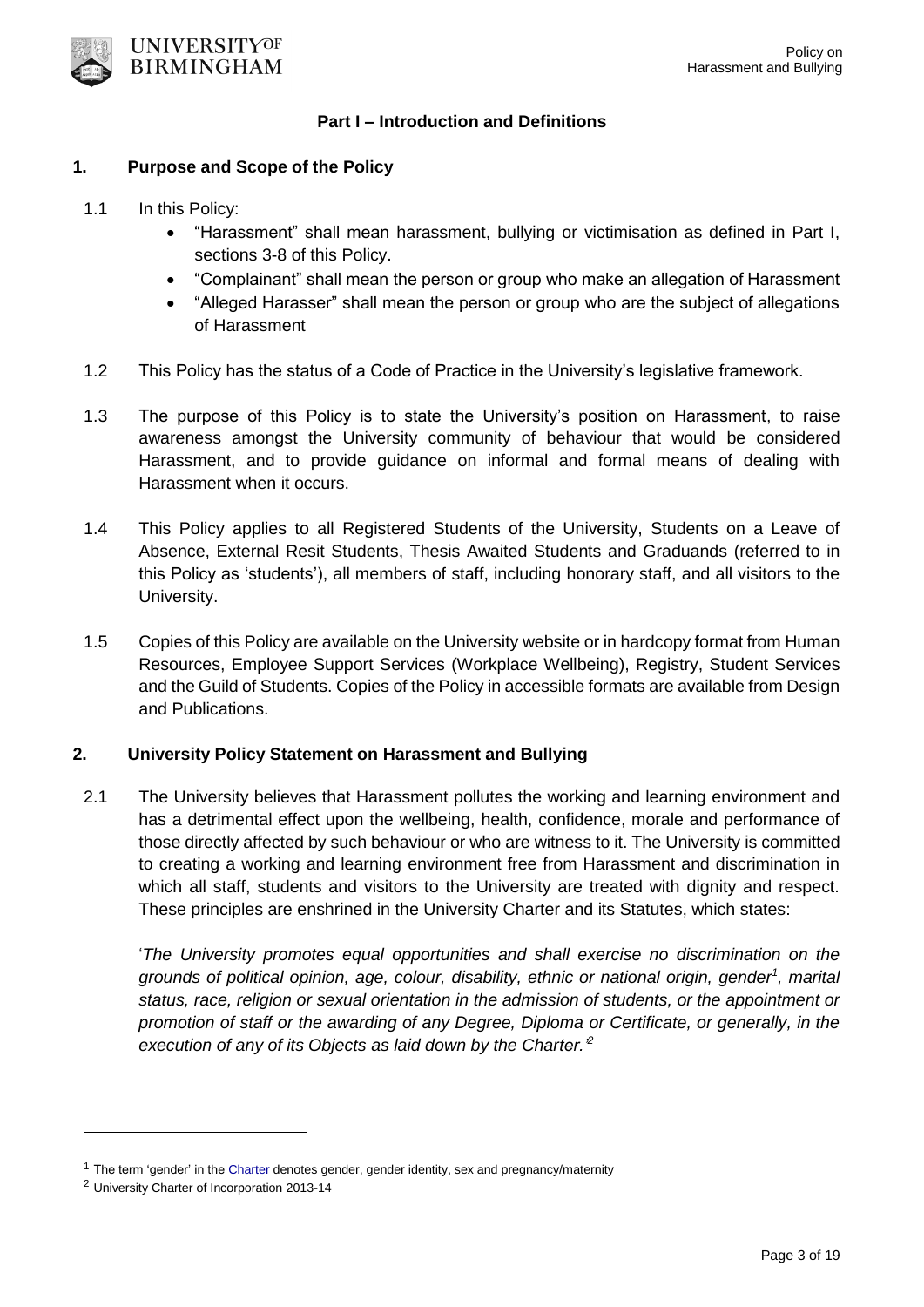

#### **Part I – Introduction and Definitions**

#### **1. Purpose and Scope of the Policy**

- 1.1 In this Policy:
	- "Harassment" shall mean harassment, bullying or victimisation as defined in Part I, sections 3-8 of this Policy.
	- "Complainant" shall mean the person or group who make an allegation of Harassment
	- "Alleged Harasser" shall mean the person or group who are the subject of allegations of Harassment
- 1.2 This Policy has the status of a Code of Practice in the University's legislative framework.
- 1.3 The purpose of this Policy is to state the University's position on Harassment, to raise awareness amongst the University community of behaviour that would be considered Harassment, and to provide guidance on informal and formal means of dealing with Harassment when it occurs.
- 1.4 This Policy applies to all Registered Students of the University, Students on a Leave of Absence, External Resit Students, Thesis Awaited Students and Graduands (referred to in this Policy as 'students'), all members of staff, including honorary staff, and all visitors to the University.
- 1.5 Copies of this Policy are available on the University website or in hardcopy format from Human Resources, Employee Support Services (Workplace Wellbeing), Registry, Student Services and the Guild of Students. Copies of the Policy in accessible formats are available from Design and Publications.

### **2. University Policy Statement on Harassment and Bullying**

2.1 The University believes that Harassment pollutes the working and learning environment and has a detrimental effect upon the wellbeing, health, confidence, morale and performance of those directly affected by such behaviour or who are witness to it. The University is committed to creating a working and learning environment free from Harassment and discrimination in which all staff, students and visitors to the University are treated with dignity and respect. These principles are enshrined in the University Charter and its Statutes, which states:

'*The University promotes equal opportunities and shall exercise no discrimination on the grounds of political opinion, age, colour, disability, ethnic or national origin, gender<sup>1</sup> , marital status, race, religion or sexual orientation in the admission of students, or the appointment or promotion of staff or the awarding of any Degree, Diploma or Certificate, or generally, in the execution of any of its Objects as laid down by the Charter.'<sup>2</sup>*

 $\overline{a}$ 

 $1$  The term 'gender' in the [Charter](https://intranet.birmingham.ac.uk/hr/documents/public/dubai/Guidance-policy/Equality-and-Diversity-Dubai.pdf) denotes gender, gender identity, sex and pregnancy/maternity

<sup>2</sup> University Charter of Incorporation 2013-14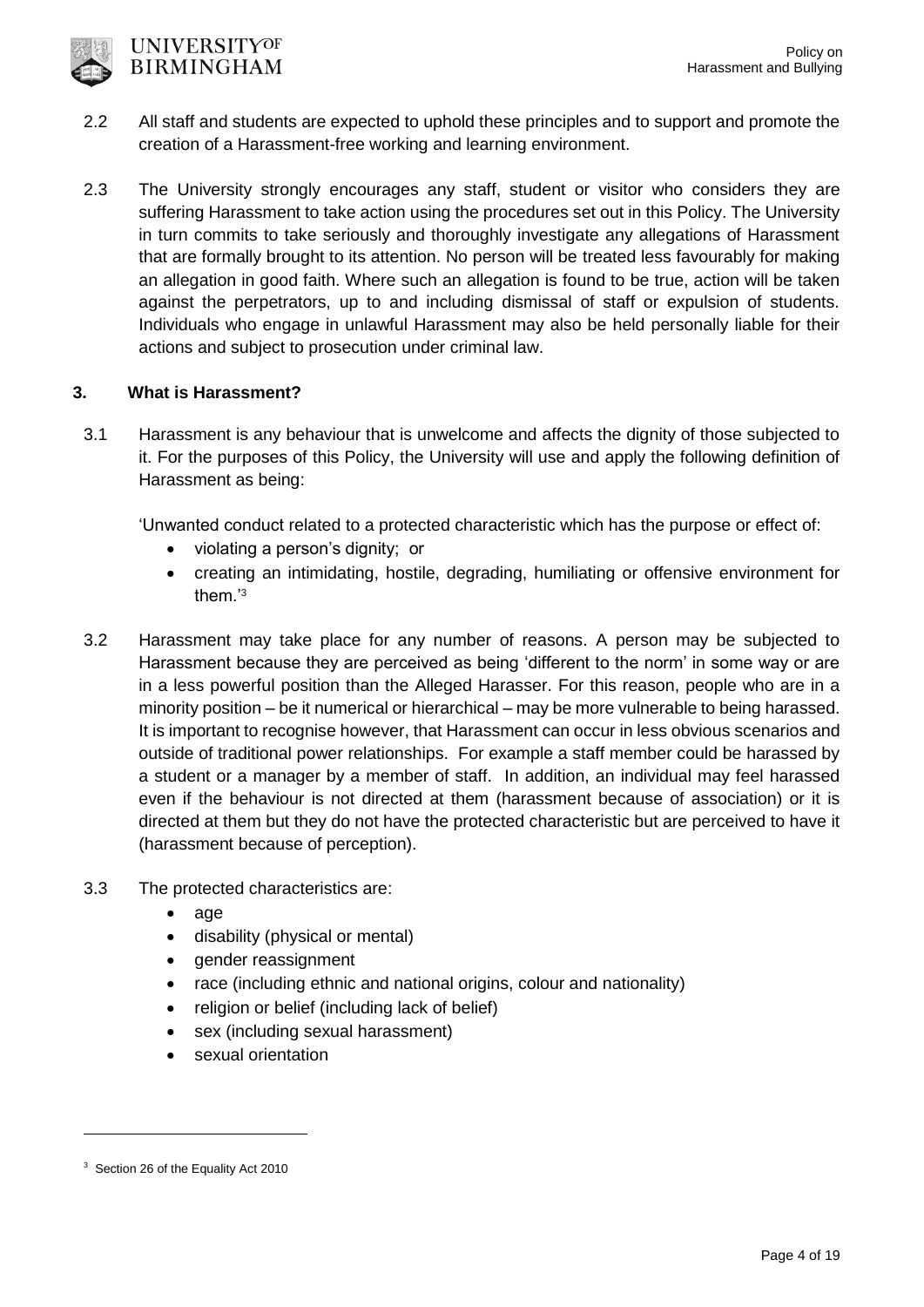

- 2.2 All staff and students are expected to uphold these principles and to support and promote the creation of a Harassment-free working and learning environment.
- 2.3 The University strongly encourages any staff, student or visitor who considers they are suffering Harassment to take action using the procedures set out in this Policy. The University in turn commits to take seriously and thoroughly investigate any allegations of Harassment that are formally brought to its attention. No person will be treated less favourably for making an allegation in good faith. Where such an allegation is found to be true, action will be taken against the perpetrators, up to and including dismissal of staff or expulsion of students. Individuals who engage in unlawful Harassment may also be held personally liable for their actions and subject to prosecution under criminal law.

# **3. What is Harassment?**

3.1 Harassment is any behaviour that is unwelcome and affects the dignity of those subjected to it. For the purposes of this Policy, the University will use and apply the following definition of Harassment as being:

'Unwanted conduct related to a protected characteristic which has the purpose or effect of:

- violating a person's dignity; or
- creating an intimidating, hostile, degrading, humiliating or offensive environment for them.'<sup>3</sup>
- 3.2 Harassment may take place for any number of reasons. A person may be subjected to Harassment because they are perceived as being 'different to the norm' in some way or are in a less powerful position than the Alleged Harasser. For this reason, people who are in a minority position – be it numerical or hierarchical – may be more vulnerable to being harassed. It is important to recognise however, that Harassment can occur in less obvious scenarios and outside of traditional power relationships. For example a staff member could be harassed by a student or a manager by a member of staff. In addition, an individual may feel harassed even if the behaviour is not directed at them (harassment because of association) or it is directed at them but they do not have the protected characteristic but are perceived to have it (harassment because of perception).
- 3.3 The protected characteristics are:
	- age
	- disability (physical or mental)
	- gender reassignment
	- race (including ethnic and national origins, colour and nationality)
	- religion or belief (including lack of belief)
	- sex (including sexual harassment)
	- sexual orientation

-

<sup>&</sup>lt;sup>3</sup> Section 26 of the Equality Act 2010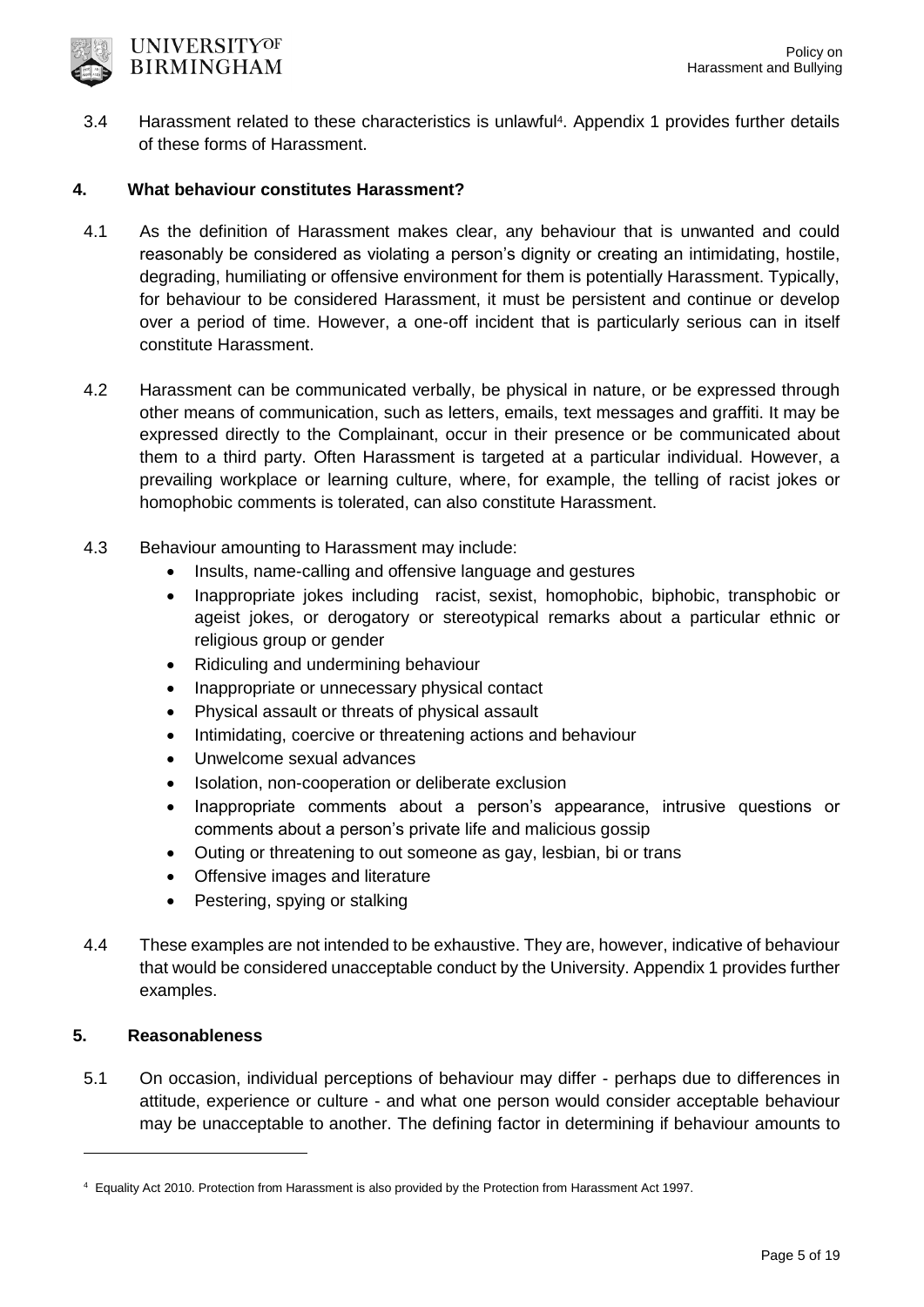

3.4 Harassment related to these characteristics is unlawful<sup>4</sup> . Appendix 1 provides further details of these forms of Harassment.

# **4. What behaviour constitutes Harassment?**

- 4.1 As the definition of Harassment makes clear, any behaviour that is unwanted and could reasonably be considered as violating a person's dignity or creating an intimidating, hostile, degrading, humiliating or offensive environment for them is potentially Harassment. Typically, for behaviour to be considered Harassment, it must be persistent and continue or develop over a period of time. However, a one-off incident that is particularly serious can in itself constitute Harassment.
- 4.2 Harassment can be communicated verbally, be physical in nature, or be expressed through other means of communication, such as letters, emails, text messages and graffiti. It may be expressed directly to the Complainant, occur in their presence or be communicated about them to a third party. Often Harassment is targeted at a particular individual. However, a prevailing workplace or learning culture, where, for example, the telling of racist jokes or homophobic comments is tolerated, can also constitute Harassment.
- 4.3 Behaviour amounting to Harassment may include:
	- Insults, name-calling and offensive language and gestures
	- Inappropriate jokes including racist, sexist, homophobic, biphobic, transphobic or ageist jokes, or derogatory or stereotypical remarks about a particular ethnic or religious group or gender
	- Ridiculing and undermining behaviour
	- Inappropriate or unnecessary physical contact
	- Physical assault or threats of physical assault
	- Intimidating, coercive or threatening actions and behaviour
	- Unwelcome sexual advances
	- Isolation, non-cooperation or deliberate exclusion
	- Inappropriate comments about a person's appearance, intrusive questions or comments about a person's private life and malicious gossip
	- Outing or threatening to out someone as gay, lesbian, bi or trans
	- Offensive images and literature
	- Pestering, spying or stalking
- 4.4 These examples are not intended to be exhaustive. They are, however, indicative of behaviour that would be considered unacceptable conduct by the University. Appendix 1 provides further examples.

## **5. Reasonableness**

-

5.1 On occasion, individual perceptions of behaviour may differ - perhaps due to differences in attitude, experience or culture - and what one person would consider acceptable behaviour may be unacceptable to another. The defining factor in determining if behaviour amounts to

<sup>4</sup> Equality Act 2010. Protection from Harassment is also provided by the Protection from Harassment Act 1997.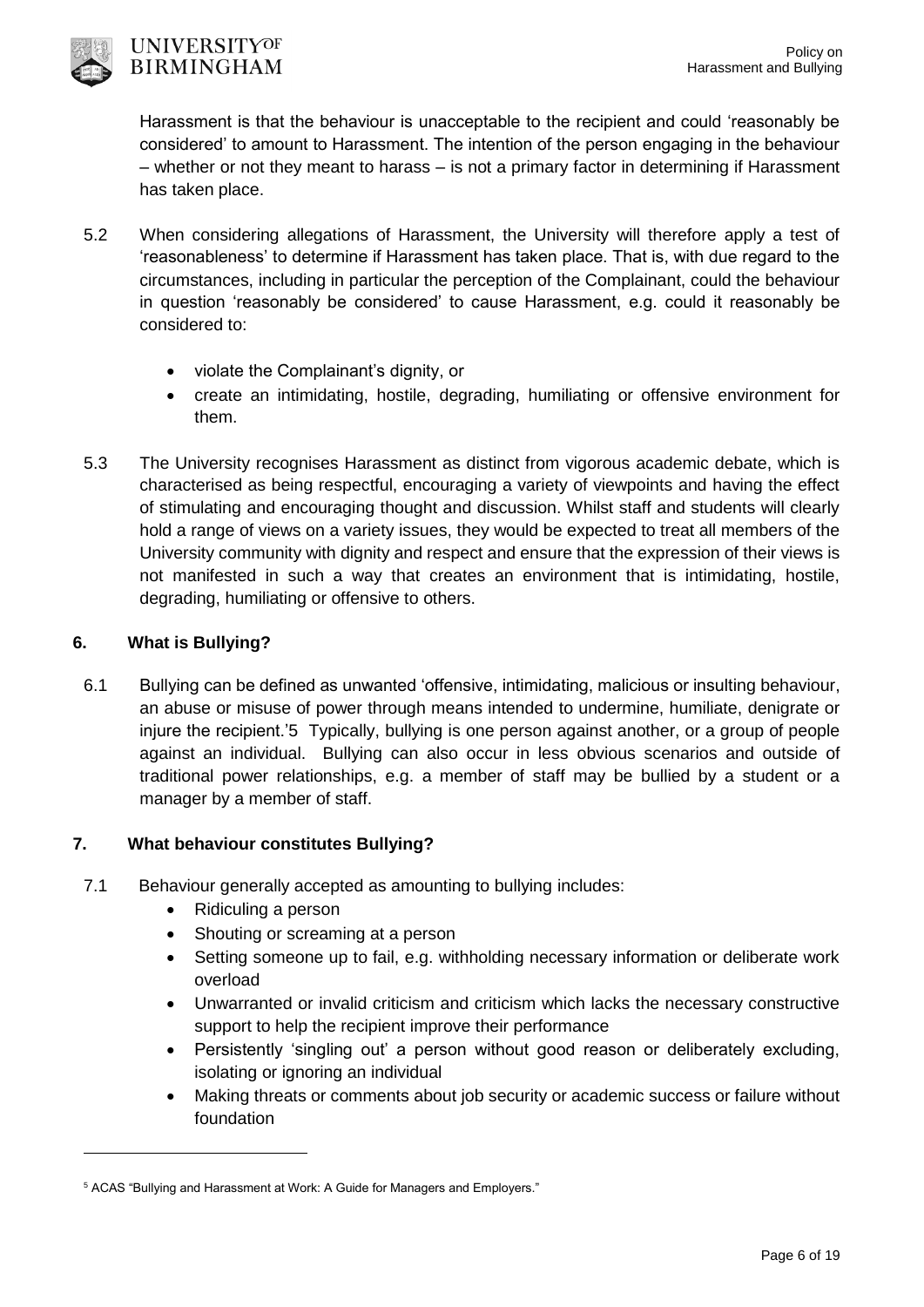

Harassment is that the behaviour is unacceptable to the recipient and could 'reasonably be considered' to amount to Harassment. The intention of the person engaging in the behaviour – whether or not they meant to harass – is not a primary factor in determining if Harassment has taken place.

- 5.2 When considering allegations of Harassment, the University will therefore apply a test of 'reasonableness' to determine if Harassment has taken place. That is, with due regard to the circumstances, including in particular the perception of the Complainant, could the behaviour in question 'reasonably be considered' to cause Harassment, e.g. could it reasonably be considered to:
	- violate the Complainant's dignity, or
	- create an intimidating, hostile, degrading, humiliating or offensive environment for them.
- 5.3 The University recognises Harassment as distinct from vigorous academic debate, which is characterised as being respectful, encouraging a variety of viewpoints and having the effect of stimulating and encouraging thought and discussion. Whilst staff and students will clearly hold a range of views on a variety issues, they would be expected to treat all members of the University community with dignity and respect and ensure that the expression of their views is not manifested in such a way that creates an environment that is intimidating, hostile, degrading, humiliating or offensive to others.

# **6. What is Bullying?**

-

6.1 Bullying can be defined as unwanted 'offensive, intimidating, malicious or insulting behaviour, an abuse or misuse of power through means intended to undermine, humiliate, denigrate or injure the recipient.'5 Typically, bullying is one person against another, or a group of people against an individual. Bullying can also occur in less obvious scenarios and outside of traditional power relationships, e.g. a member of staff may be bullied by a student or a manager by a member of staff.

# **7. What behaviour constitutes Bullying?**

- 7.1 Behaviour generally accepted as amounting to bullying includes:
	- Ridiculing a person
	- Shouting or screaming at a person
	- Setting someone up to fail, e.g. withholding necessary information or deliberate work overload
	- Unwarranted or invalid criticism and criticism which lacks the necessary constructive support to help the recipient improve their performance
	- Persistently 'singling out' a person without good reason or deliberately excluding, isolating or ignoring an individual
	- Making threats or comments about job security or academic success or failure without foundation

<sup>5</sup> ACAS "Bullying and Harassment at Work: A Guide for Managers and Employers."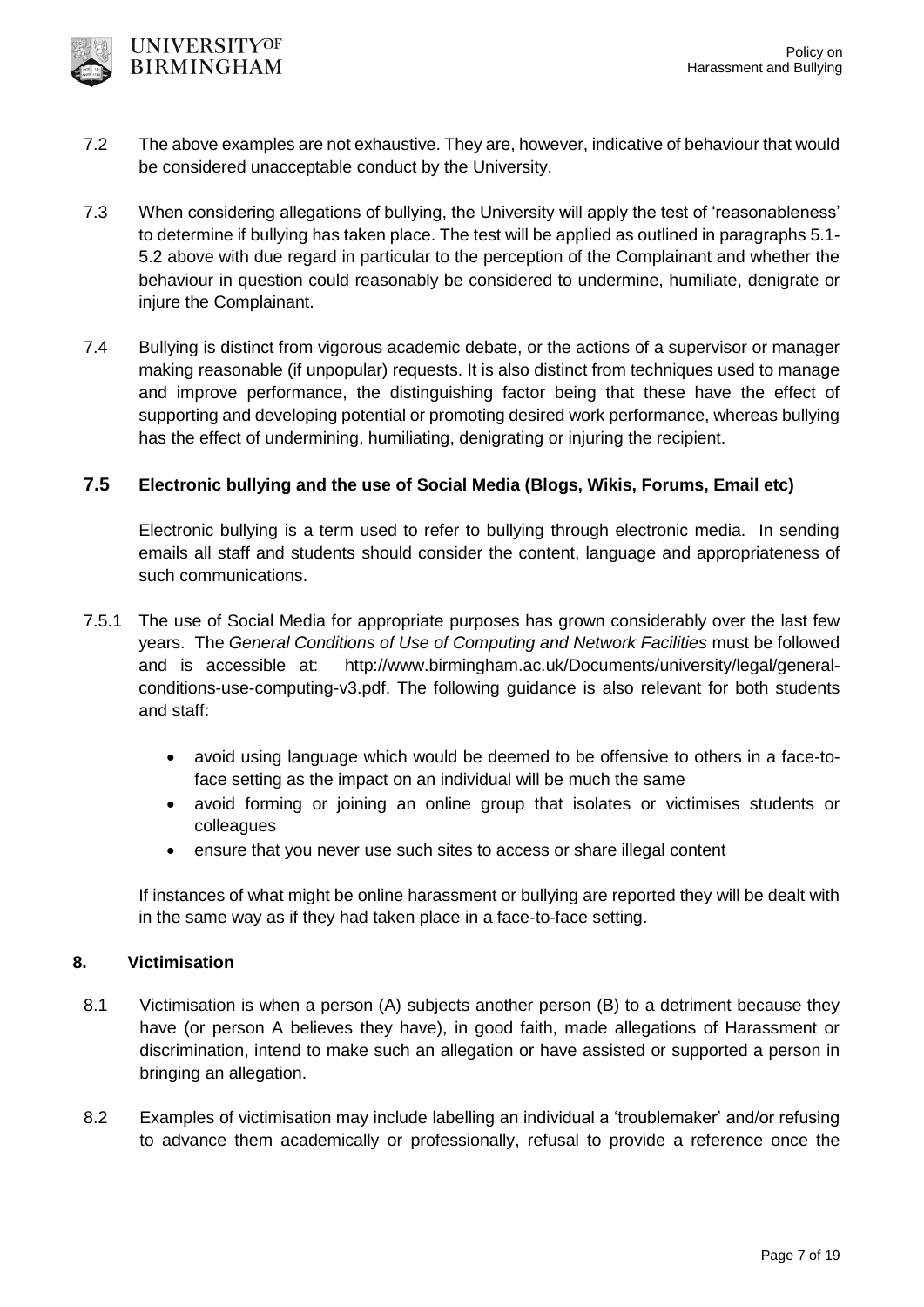

- 7.2 The above examples are not exhaustive. They are, however, indicative of behaviour that would be considered unacceptable conduct by the University.
- 7.3 When considering allegations of bullying, the University will apply the test of 'reasonableness' to determine if bullying has taken place. The test will be applied as outlined in paragraphs 5.1- 5.2 above with due regard in particular to the perception of the Complainant and whether the behaviour in question could reasonably be considered to undermine, humiliate, denigrate or injure the Complainant.
- 7.4 Bullying is distinct from vigorous academic debate, or the actions of a supervisor or manager making reasonable (if unpopular) requests. It is also distinct from techniques used to manage and improve performance, the distinguishing factor being that these have the effect of supporting and developing potential or promoting desired work performance, whereas bullying has the effect of undermining, humiliating, denigrating or injuring the recipient.

## **7.5 Electronic bullying and the use of Social Media (Blogs, Wikis, Forums, Email etc)**

Electronic bullying is a term used to refer to bullying through electronic media. In sending emails all staff and students should consider the content, language and appropriateness of such communications.

- 7.5.1 The use of Social Media for appropriate purposes has grown considerably over the last few years. The *General Conditions of Use of Computing and Network Facilities* must be followed and is accessible at: http://www.birmingham.ac.uk/Documents/university/legal/generalconditions-use-computing-v3.pdf. The following guidance is also relevant for both students and staff:
	- avoid using language which would be deemed to be offensive to others in a face-toface setting as the impact on an individual will be much the same
	- avoid forming or joining an online group that isolates or victimises students or colleagues
	- ensure that you never use such sites to access or share illegal content

If instances of what might be online harassment or bullying are reported they will be dealt with in the same way as if they had taken place in a face-to-face setting.

## **8. Victimisation**

- 8.1 Victimisation is when a person (A) subjects another person (B) to a detriment because they have (or person A believes they have), in good faith, made allegations of Harassment or discrimination, intend to make such an allegation or have assisted or supported a person in bringing an allegation.
- 8.2 Examples of victimisation may include labelling an individual a 'troublemaker' and/or refusing to advance them academically or professionally, refusal to provide a reference once the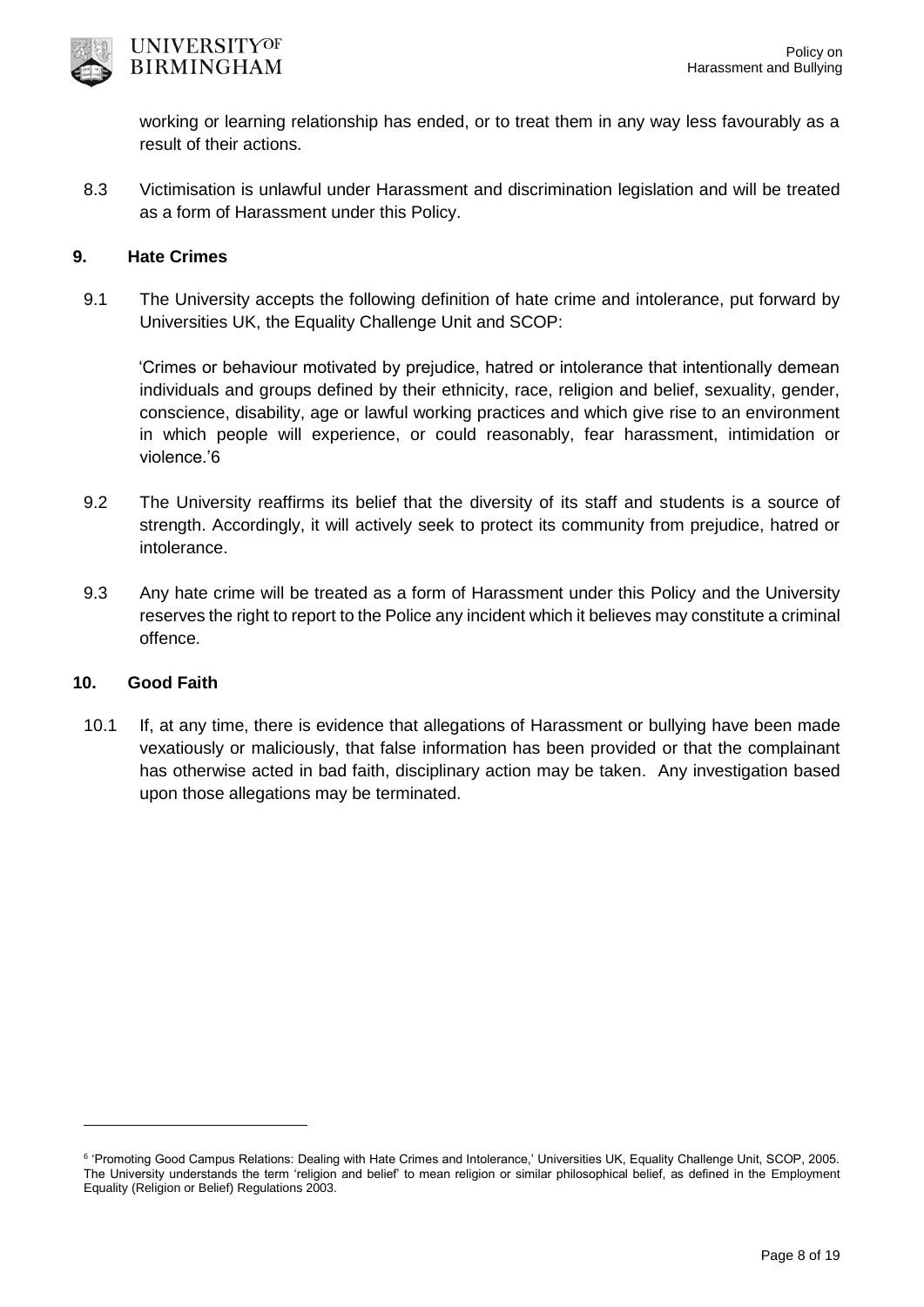

working or learning relationship has ended, or to treat them in any way less favourably as a result of their actions.

8.3 Victimisation is unlawful under Harassment and discrimination legislation and will be treated as a form of Harassment under this Policy.

### **9. Hate Crimes**

9.1 The University accepts the following definition of hate crime and intolerance, put forward by Universities UK, the Equality Challenge Unit and SCOP:

'Crimes or behaviour motivated by prejudice, hatred or intolerance that intentionally demean individuals and groups defined by their ethnicity, race, religion and belief, sexuality, gender, conscience, disability, age or lawful working practices and which give rise to an environment in which people will experience, or could reasonably, fear harassment, intimidation or violence.'6

- 9.2 The University reaffirms its belief that the diversity of its staff and students is a source of strength. Accordingly, it will actively seek to protect its community from prejudice, hatred or intolerance.
- 9.3 Any hate crime will be treated as a form of Harassment under this Policy and the University reserves the right to report to the Police any incident which it believes may constitute a criminal offence.

## **10. Good Faith**

-

10.1 If, at any time, there is evidence that allegations of Harassment or bullying have been made vexatiously or maliciously, that false information has been provided or that the complainant has otherwise acted in bad faith, disciplinary action may be taken. Any investigation based upon those allegations may be terminated.

<sup>6 &#</sup>x27;Promoting Good Campus Relations: Dealing with Hate Crimes and Intolerance,' Universities UK, Equality Challenge Unit, SCOP, 2005. The University understands the term 'religion and belief' to mean religion or similar philosophical belief, as defined in the Employment Equality (Religion or Belief) Regulations 2003.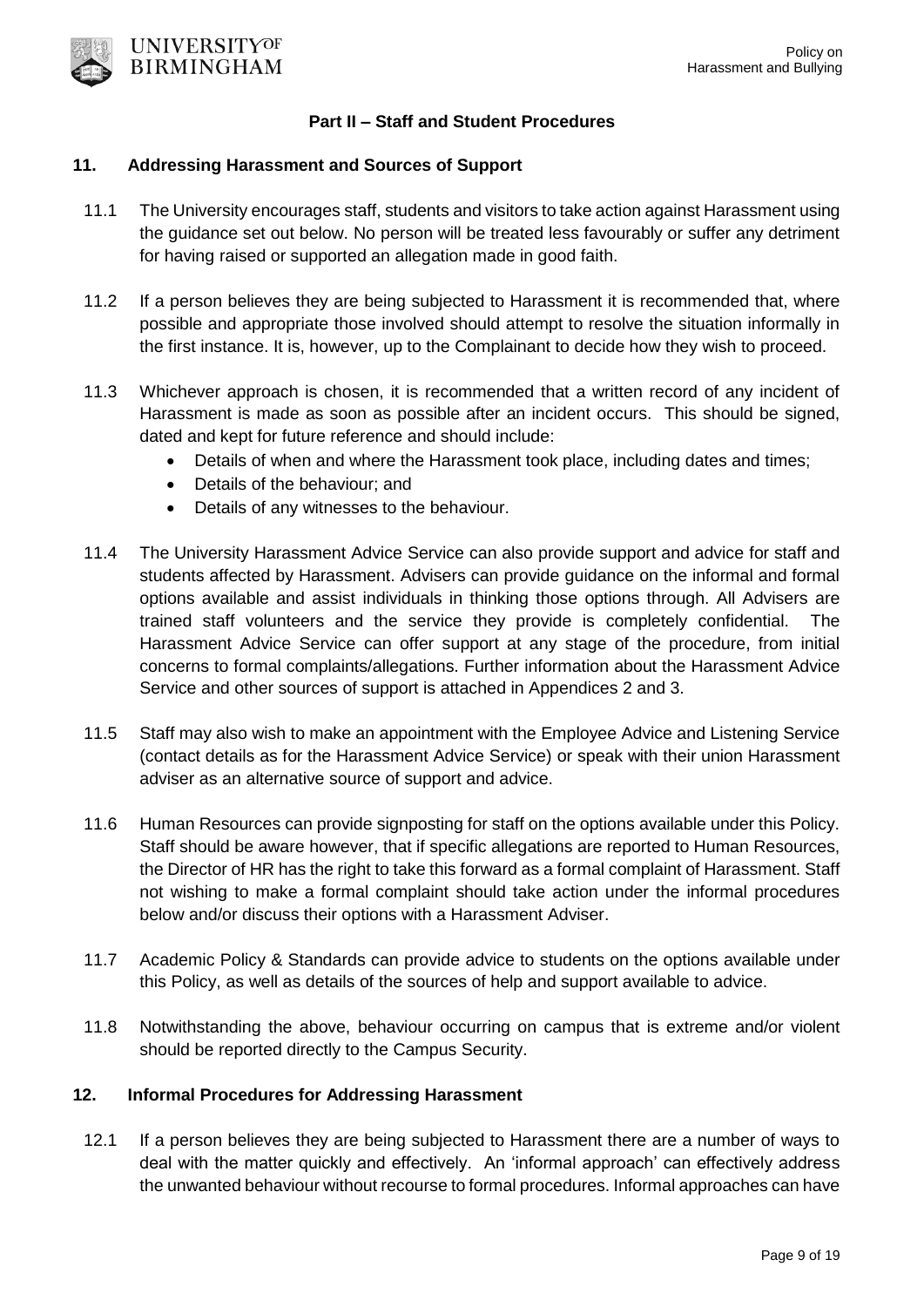

#### **Part II – Staff and Student Procedures**

#### **11. Addressing Harassment and Sources of Support**

- 11.1 The University encourages staff, students and visitors to take action against Harassment using the guidance set out below. No person will be treated less favourably or suffer any detriment for having raised or supported an allegation made in good faith.
- 11.2 If a person believes they are being subjected to Harassment it is recommended that, where possible and appropriate those involved should attempt to resolve the situation informally in the first instance. It is, however, up to the Complainant to decide how they wish to proceed.
- 11.3 Whichever approach is chosen, it is recommended that a written record of any incident of Harassment is made as soon as possible after an incident occurs. This should be signed, dated and kept for future reference and should include:
	- Details of when and where the Harassment took place, including dates and times;
	- Details of the behaviour; and
	- Details of any witnesses to the behaviour.
- 11.4 The University Harassment Advice Service can also provide support and advice for staff and students affected by Harassment. Advisers can provide guidance on the informal and formal options available and assist individuals in thinking those options through. All Advisers are trained staff volunteers and the service they provide is completely confidential. The Harassment Advice Service can offer support at any stage of the procedure, from initial concerns to formal complaints/allegations. Further information about the Harassment Advice Service and other sources of support is attached in Appendices 2 and 3.
- 11.5 Staff may also wish to make an appointment with the Employee Advice and Listening Service (contact details as for the Harassment Advice Service) or speak with their union Harassment adviser as an alternative source of support and advice.
- 11.6 Human Resources can provide signposting for staff on the options available under this Policy. Staff should be aware however, that if specific allegations are reported to Human Resources, the Director of HR has the right to take this forward as a formal complaint of Harassment. Staff not wishing to make a formal complaint should take action under the informal procedures below and/or discuss their options with a Harassment Adviser.
- 11.7 Academic Policy & Standards can provide advice to students on the options available under this Policy, as well as details of the sources of help and support available to advice.
- 11.8 Notwithstanding the above, behaviour occurring on campus that is extreme and/or violent should be reported directly to the Campus Security.

## **12. Informal Procedures for Addressing Harassment**

12.1 If a person believes they are being subjected to Harassment there are a number of ways to deal with the matter quickly and effectively. An 'informal approach' can effectively address the unwanted behaviour without recourse to formal procedures. Informal approaches can have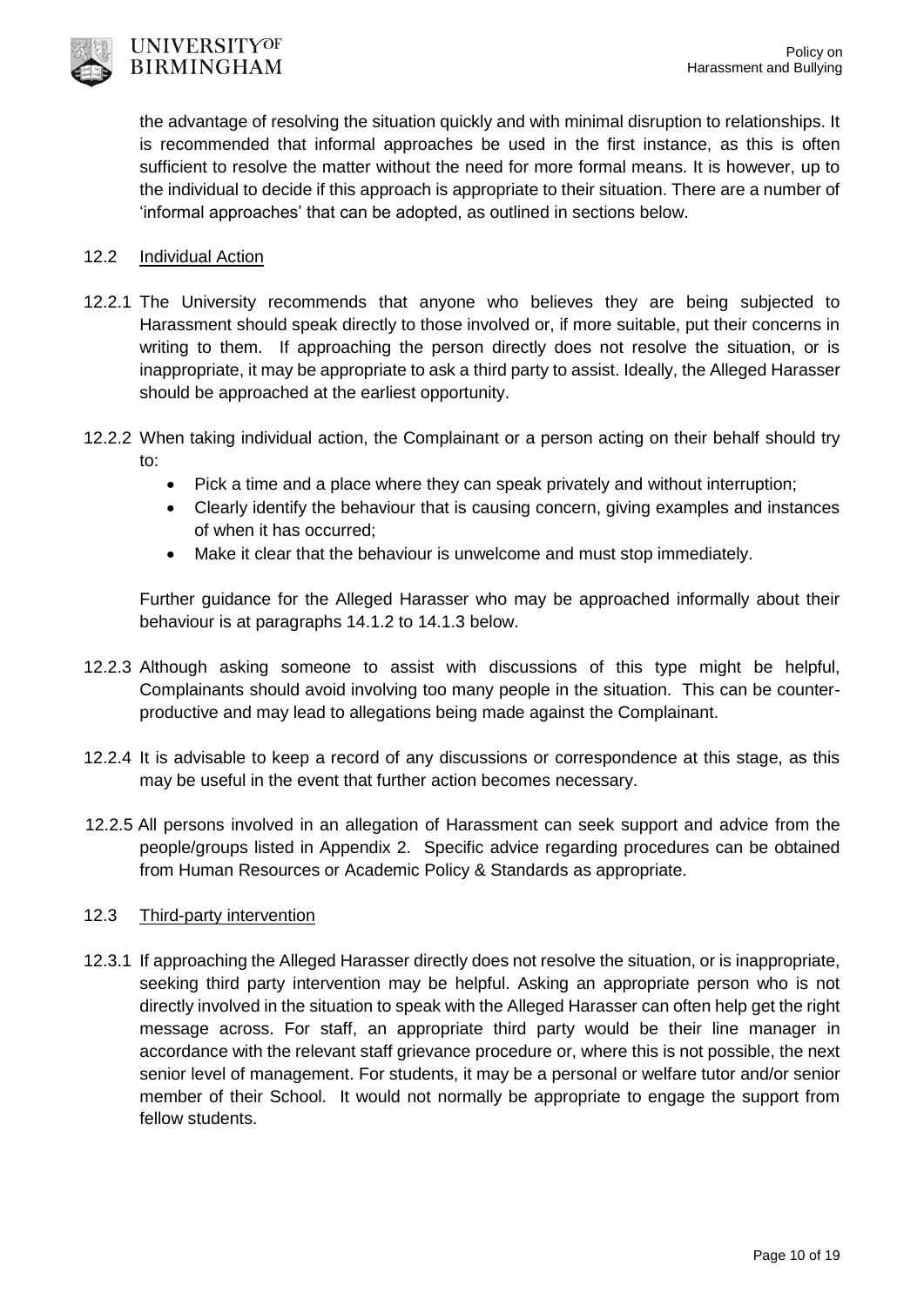

the advantage of resolving the situation quickly and with minimal disruption to relationships. It is recommended that informal approaches be used in the first instance, as this is often sufficient to resolve the matter without the need for more formal means. It is however, up to the individual to decide if this approach is appropriate to their situation. There are a number of 'informal approaches' that can be adopted, as outlined in sections below.

#### 12.2 Individual Action

- 12.2.1 The University recommends that anyone who believes they are being subjected to Harassment should speak directly to those involved or, if more suitable, put their concerns in writing to them. If approaching the person directly does not resolve the situation, or is inappropriate, it may be appropriate to ask a third party to assist. Ideally, the Alleged Harasser should be approached at the earliest opportunity.
- 12.2.2 When taking individual action, the Complainant or a person acting on their behalf should try to:
	- Pick a time and a place where they can speak privately and without interruption;
	- Clearly identify the behaviour that is causing concern, giving examples and instances of when it has occurred;
	- Make it clear that the behaviour is unwelcome and must stop immediately.

Further guidance for the Alleged Harasser who may be approached informally about their behaviour is at paragraphs 14.1.2 to 14.1.3 below.

- 12.2.3 Although asking someone to assist with discussions of this type might be helpful, Complainants should avoid involving too many people in the situation. This can be counterproductive and may lead to allegations being made against the Complainant.
- 12.2.4 It is advisable to keep a record of any discussions or correspondence at this stage, as this may be useful in the event that further action becomes necessary.
- 12.2.5 All persons involved in an allegation of Harassment can seek support and advice from the people/groups listed in Appendix 2. Specific advice regarding procedures can be obtained from Human Resources or Academic Policy & Standards as appropriate.

### 12.3 Third-party intervention

12.3.1 If approaching the Alleged Harasser directly does not resolve the situation, or is inappropriate, seeking third party intervention may be helpful. Asking an appropriate person who is not directly involved in the situation to speak with the Alleged Harasser can often help get the right message across. For staff, an appropriate third party would be their line manager in accordance with the relevant staff grievance procedure or, where this is not possible, the next senior level of management. For students, it may be a personal or welfare tutor and/or senior member of their School. It would not normally be appropriate to engage the support from fellow students.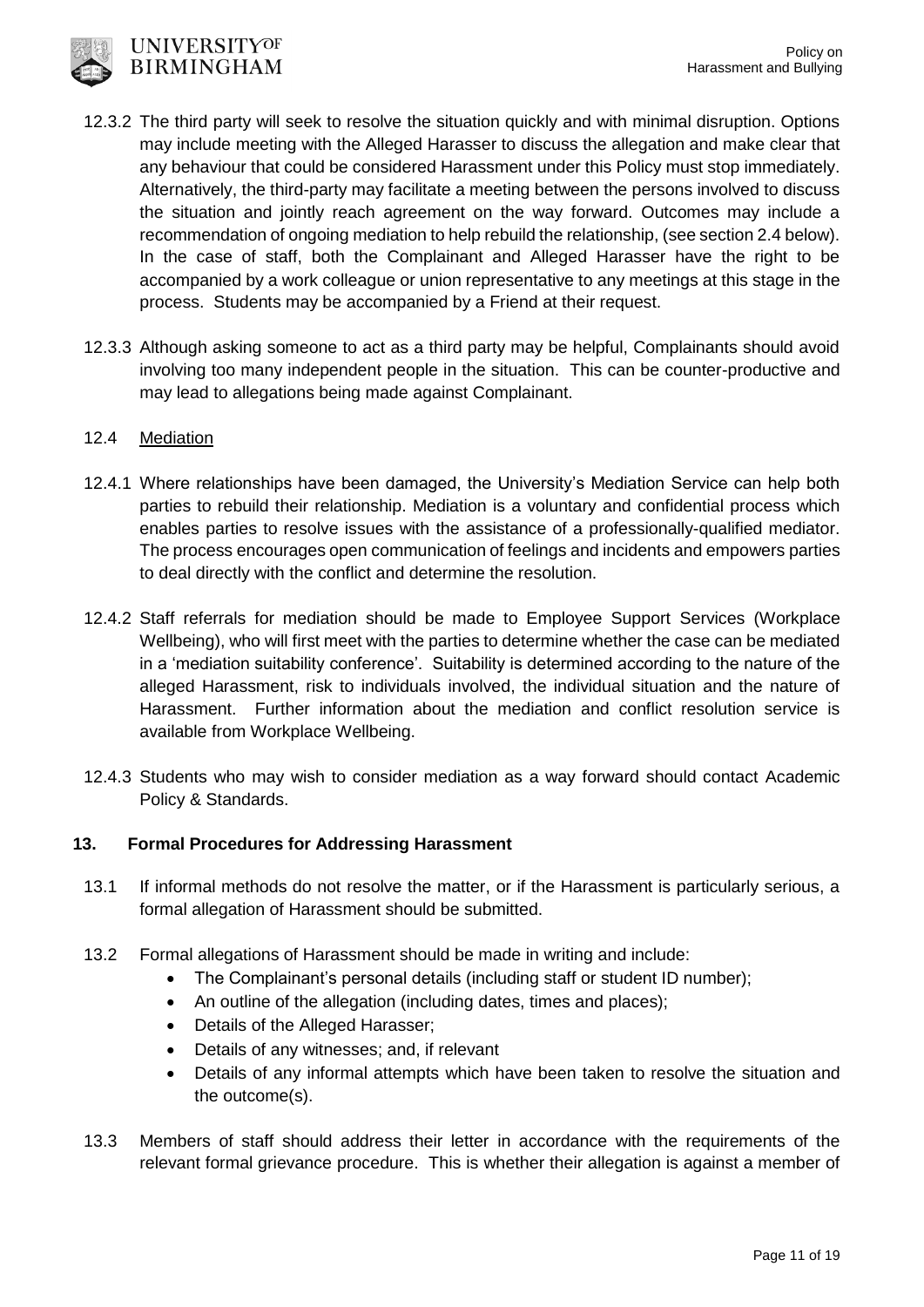

- 12.3.2 The third party will seek to resolve the situation quickly and with minimal disruption. Options may include meeting with the Alleged Harasser to discuss the allegation and make clear that any behaviour that could be considered Harassment under this Policy must stop immediately. Alternatively, the third-party may facilitate a meeting between the persons involved to discuss the situation and jointly reach agreement on the way forward. Outcomes may include a recommendation of ongoing mediation to help rebuild the relationship, (see section 2.4 below). In the case of staff, both the Complainant and Alleged Harasser have the right to be accompanied by a work colleague or union representative to any meetings at this stage in the process. Students may be accompanied by a Friend at their request.
- 12.3.3 Although asking someone to act as a third party may be helpful, Complainants should avoid involving too many independent people in the situation. This can be counter-productive and may lead to allegations being made against Complainant.

## 12.4 Mediation

- 12.4.1 Where relationships have been damaged, the University's Mediation Service can help both parties to rebuild their relationship. Mediation is a voluntary and confidential process which enables parties to resolve issues with the assistance of a professionally-qualified mediator. The process encourages open communication of feelings and incidents and empowers parties to deal directly with the conflict and determine the resolution.
- 12.4.2 Staff referrals for mediation should be made to Employee Support Services (Workplace Wellbeing), who will first meet with the parties to determine whether the case can be mediated in a 'mediation suitability conference'. Suitability is determined according to the nature of the alleged Harassment, risk to individuals involved, the individual situation and the nature of Harassment. Further information about the mediation and conflict resolution service is available from Workplace Wellbeing.
- 12.4.3 Students who may wish to consider mediation as a way forward should contact Academic Policy & Standards.

## **13. Formal Procedures for Addressing Harassment**

- 13.1 If informal methods do not resolve the matter, or if the Harassment is particularly serious, a formal allegation of Harassment should be submitted.
- 13.2 Formal allegations of Harassment should be made in writing and include:
	- The Complainant's personal details (including staff or student ID number);
	- An outline of the allegation (including dates, times and places);
	- Details of the Alleged Harasser;
	- Details of any witnesses; and, if relevant
	- Details of any informal attempts which have been taken to resolve the situation and the outcome(s).
- 13.3 Members of staff should address their letter in accordance with the requirements of the relevant formal grievance procedure. This is whether their allegation is against a member of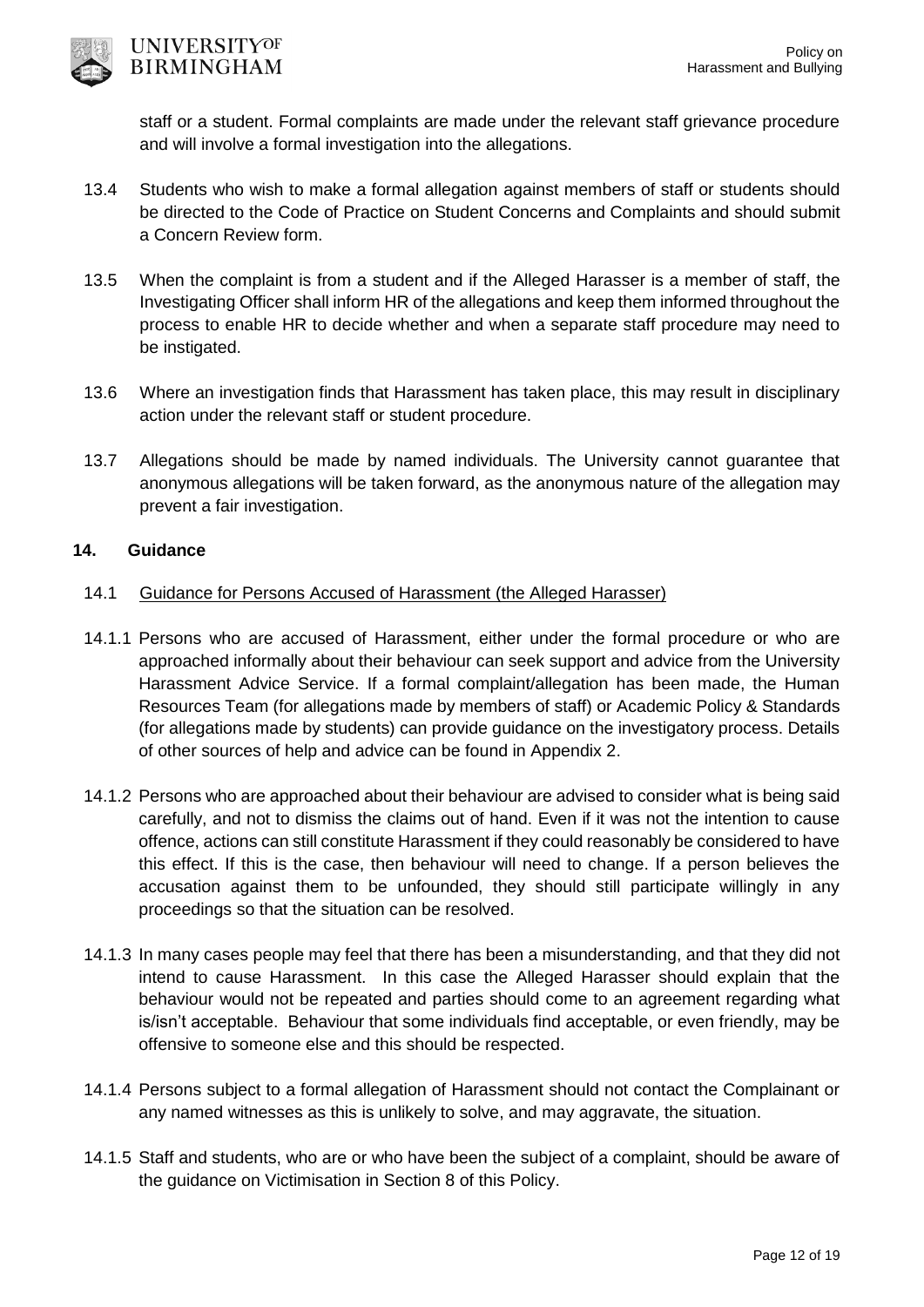

staff or a student. Formal complaints are made under the relevant staff grievance procedure and will involve a formal investigation into the allegations.

- 13.4 Students who wish to make a formal allegation against members of staff or students should be directed to the Code of Practice on Student Concerns and Complaints and should submit a Concern Review form.
- 13.5 When the complaint is from a student and if the Alleged Harasser is a member of staff, the Investigating Officer shall inform HR of the allegations and keep them informed throughout the process to enable HR to decide whether and when a separate staff procedure may need to be instigated.
- 13.6 Where an investigation finds that Harassment has taken place, this may result in disciplinary action under the relevant staff or student procedure.
- 13.7 Allegations should be made by named individuals. The University cannot guarantee that anonymous allegations will be taken forward, as the anonymous nature of the allegation may prevent a fair investigation.

### **14. Guidance**

### 14.1 Guidance for Persons Accused of Harassment (the Alleged Harasser)

- 14.1.1 Persons who are accused of Harassment, either under the formal procedure or who are approached informally about their behaviour can seek support and advice from the University Harassment Advice Service. If a formal complaint/allegation has been made, the Human Resources Team (for allegations made by members of staff) or Academic Policy & Standards (for allegations made by students) can provide guidance on the investigatory process. Details of other sources of help and advice can be found in Appendix 2.
- 14.1.2 Persons who are approached about their behaviour are advised to consider what is being said carefully, and not to dismiss the claims out of hand. Even if it was not the intention to cause offence, actions can still constitute Harassment if they could reasonably be considered to have this effect. If this is the case, then behaviour will need to change. If a person believes the accusation against them to be unfounded, they should still participate willingly in any proceedings so that the situation can be resolved.
- 14.1.3 In many cases people may feel that there has been a misunderstanding, and that they did not intend to cause Harassment. In this case the Alleged Harasser should explain that the behaviour would not be repeated and parties should come to an agreement regarding what is/isn't acceptable. Behaviour that some individuals find acceptable, or even friendly, may be offensive to someone else and this should be respected.
- 14.1.4 Persons subject to a formal allegation of Harassment should not contact the Complainant or any named witnesses as this is unlikely to solve, and may aggravate, the situation.
- 14.1.5 Staff and students, who are or who have been the subject of a complaint, should be aware of the guidance on Victimisation in Section 8 of this Policy.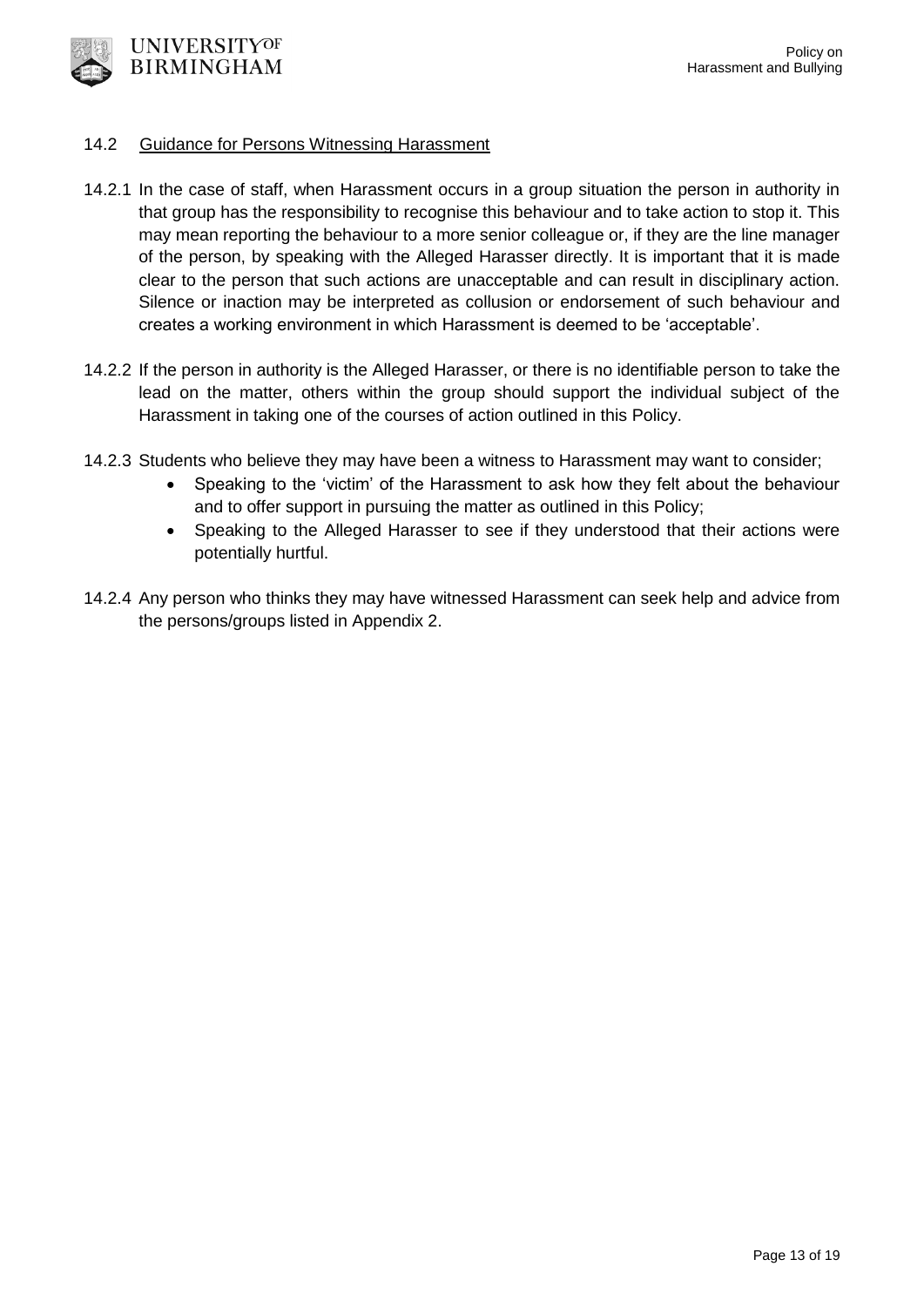

#### 14.2 Guidance for Persons Witnessing Harassment

- 14.2.1 In the case of staff, when Harassment occurs in a group situation the person in authority in that group has the responsibility to recognise this behaviour and to take action to stop it. This may mean reporting the behaviour to a more senior colleague or, if they are the line manager of the person, by speaking with the Alleged Harasser directly. It is important that it is made clear to the person that such actions are unacceptable and can result in disciplinary action. Silence or inaction may be interpreted as collusion or endorsement of such behaviour and creates a working environment in which Harassment is deemed to be 'acceptable'.
- 14.2.2 If the person in authority is the Alleged Harasser, or there is no identifiable person to take the lead on the matter, others within the group should support the individual subject of the Harassment in taking one of the courses of action outlined in this Policy.
- 14.2.3 Students who believe they may have been a witness to Harassment may want to consider;
	- Speaking to the 'victim' of the Harassment to ask how they felt about the behaviour and to offer support in pursuing the matter as outlined in this Policy;
	- Speaking to the Alleged Harasser to see if they understood that their actions were potentially hurtful.
- 14.2.4 Any person who thinks they may have witnessed Harassment can seek help and advice from the persons/groups listed in Appendix 2.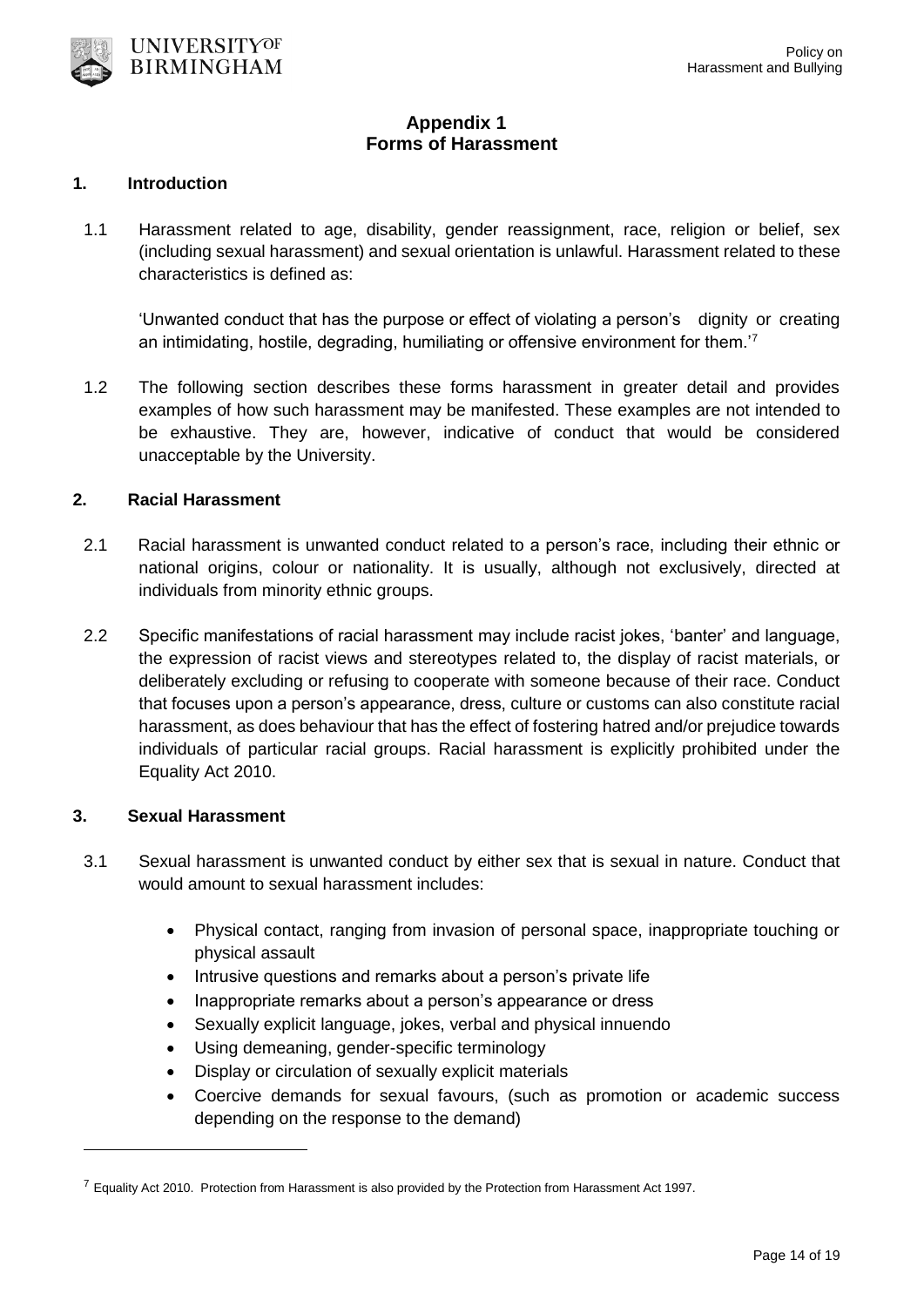

# **Appendix 1 Forms of Harassment**

#### **1. Introduction**

1.1 Harassment related to age, disability, gender reassignment, race, religion or belief, sex (including sexual harassment) and sexual orientation is unlawful. Harassment related to these characteristics is defined as:

'Unwanted conduct that has the purpose or effect of violating a person's dignity or creating an intimidating, hostile, degrading, humiliating or offensive environment for them.'<sup>7</sup>

1.2 The following section describes these forms harassment in greater detail and provides examples of how such harassment may be manifested. These examples are not intended to be exhaustive. They are, however, indicative of conduct that would be considered unacceptable by the University.

## **2. Racial Harassment**

- 2.1 Racial harassment is unwanted conduct related to a person's race, including their ethnic or national origins, colour or nationality. It is usually, although not exclusively, directed at individuals from minority ethnic groups.
- 2.2 Specific manifestations of racial harassment may include racist jokes, 'banter' and language, the expression of racist views and stereotypes related to, the display of racist materials, or deliberately excluding or refusing to cooperate with someone because of their race. Conduct that focuses upon a person's appearance, dress, culture or customs can also constitute racial harassment, as does behaviour that has the effect of fostering hatred and/or prejudice towards individuals of particular racial groups. Racial harassment is explicitly prohibited under the Equality Act 2010.

#### **3. Sexual Harassment**

-

- 3.1 Sexual harassment is unwanted conduct by either sex that is sexual in nature. Conduct that would amount to sexual harassment includes:
	- Physical contact, ranging from invasion of personal space, inappropriate touching or physical assault
	- Intrusive questions and remarks about a person's private life
	- Inappropriate remarks about a person's appearance or dress
	- Sexually explicit language, jokes, verbal and physical innuendo
	- Using demeaning, gender-specific terminology
	- Display or circulation of sexually explicit materials
	- Coercive demands for sexual favours, (such as promotion or academic success depending on the response to the demand)

<sup>&</sup>lt;sup>7</sup> Equality Act 2010. Protection from Harassment is also provided by the Protection from Harassment Act 1997.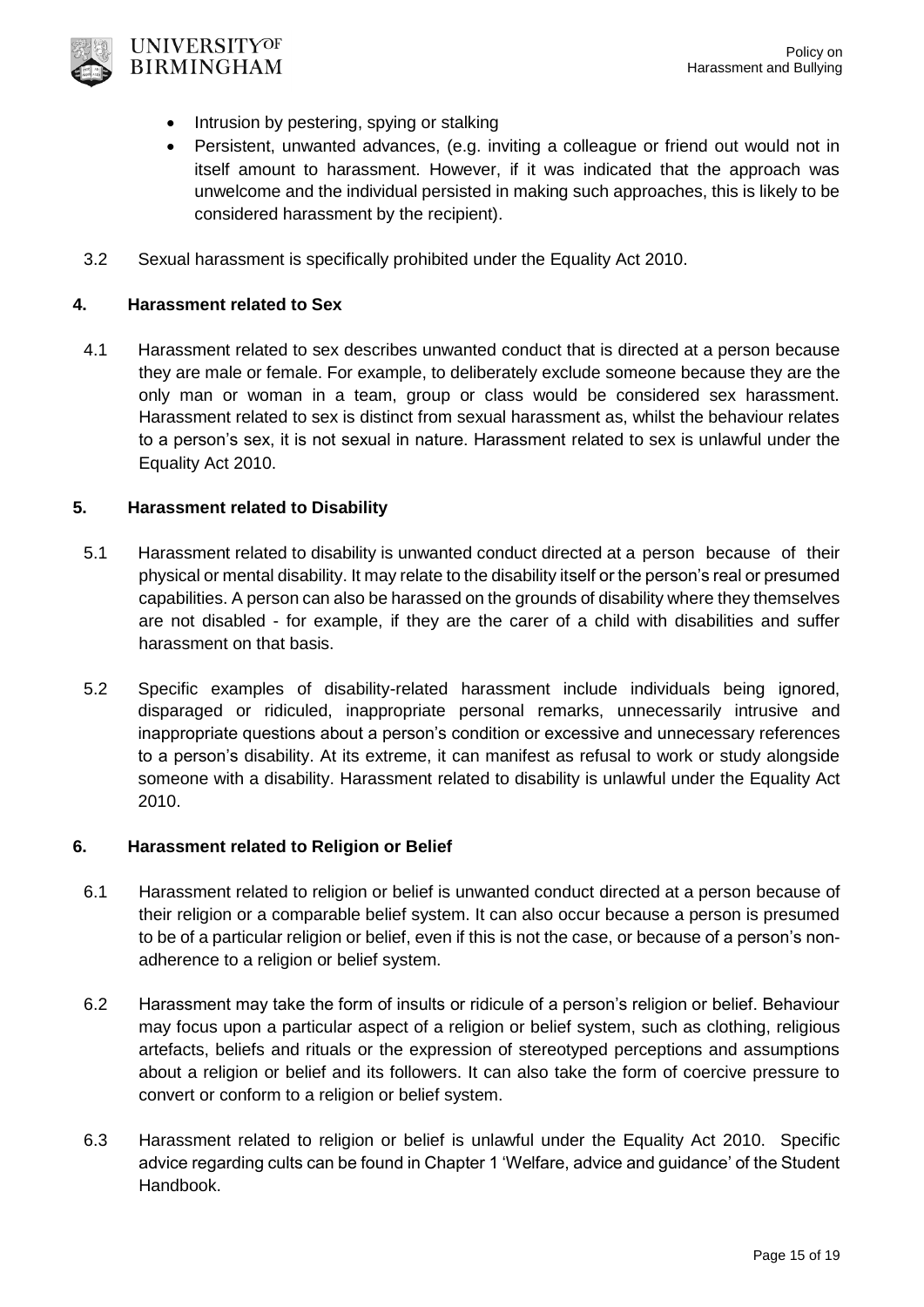

- Intrusion by pestering, spying or stalking
- Persistent, unwanted advances, (e.g. inviting a colleague or friend out would not in itself amount to harassment. However, if it was indicated that the approach was unwelcome and the individual persisted in making such approaches, this is likely to be considered harassment by the recipient).
- 3.2 Sexual harassment is specifically prohibited under the Equality Act 2010.

## **4. Harassment related to Sex**

4.1 Harassment related to sex describes unwanted conduct that is directed at a person because they are male or female. For example, to deliberately exclude someone because they are the only man or woman in a team, group or class would be considered sex harassment. Harassment related to sex is distinct from sexual harassment as, whilst the behaviour relates to a person's sex, it is not sexual in nature. Harassment related to sex is unlawful under the Equality Act 2010.

## **5. Harassment related to Disability**

- 5.1 Harassment related to disability is unwanted conduct directed at a person because of their physical or mental disability. It may relate to the disability itself or the person's real or presumed capabilities. A person can also be harassed on the grounds of disability where they themselves are not disabled - for example, if they are the carer of a child with disabilities and suffer harassment on that basis.
- 5.2 Specific examples of disability-related harassment include individuals being ignored, disparaged or ridiculed, inappropriate personal remarks, unnecessarily intrusive and inappropriate questions about a person's condition or excessive and unnecessary references to a person's disability. At its extreme, it can manifest as refusal to work or study alongside someone with a disability. Harassment related to disability is unlawful under the Equality Act 2010.

### **6. Harassment related to Religion or Belief**

- 6.1 Harassment related to religion or belief is unwanted conduct directed at a person because of their religion or a comparable belief system. It can also occur because a person is presumed to be of a particular religion or belief, even if this is not the case, or because of a person's nonadherence to a religion or belief system.
- 6.2 Harassment may take the form of insults or ridicule of a person's religion or belief. Behaviour may focus upon a particular aspect of a religion or belief system, such as clothing, religious artefacts, beliefs and rituals or the expression of stereotyped perceptions and assumptions about a religion or belief and its followers. It can also take the form of coercive pressure to convert or conform to a religion or belief system.
- 6.3 Harassment related to religion or belief is unlawful under the Equality Act 2010. Specific advice regarding cults can be found in Chapter 1 'Welfare, advice and guidance' of the Student Handbook.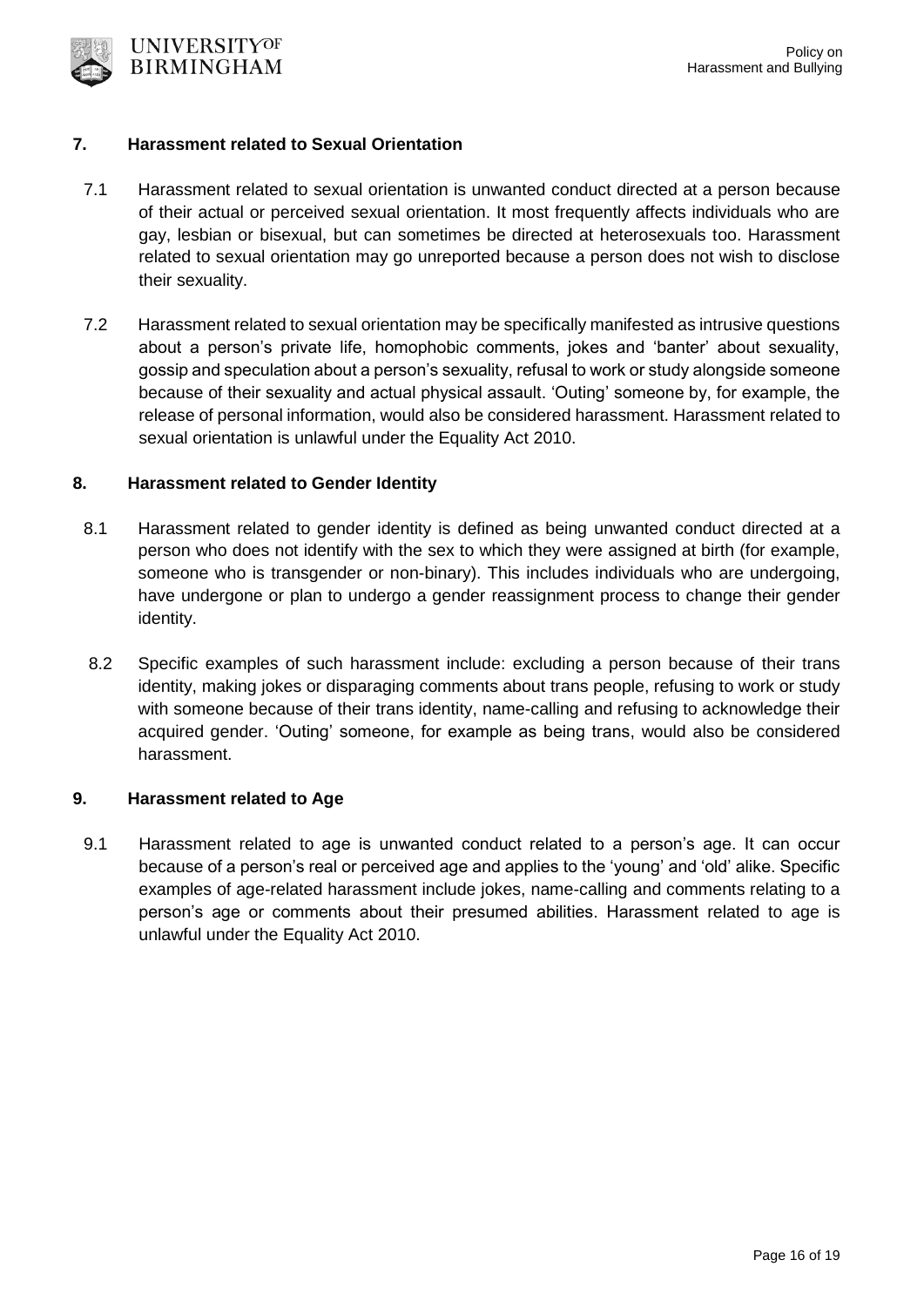

#### **7. Harassment related to Sexual Orientation**

- 7.1 Harassment related to sexual orientation is unwanted conduct directed at a person because of their actual or perceived sexual orientation. It most frequently affects individuals who are gay, lesbian or bisexual, but can sometimes be directed at heterosexuals too. Harassment related to sexual orientation may go unreported because a person does not wish to disclose their sexuality.
- 7.2 Harassment related to sexual orientation may be specifically manifested as intrusive questions about a person's private life, homophobic comments, jokes and 'banter' about sexuality, gossip and speculation about a person's sexuality, refusal to work or study alongside someone because of their sexuality and actual physical assault. 'Outing' someone by, for example, the release of personal information, would also be considered harassment. Harassment related to sexual orientation is unlawful under the Equality Act 2010.

#### **8. Harassment related to Gender Identity**

- 8.1 Harassment related to gender identity is defined as being unwanted conduct directed at a person who does not identify with the sex to which they were assigned at birth (for example, someone who is transgender or non-binary). This includes individuals who are undergoing, have undergone or plan to undergo a gender reassignment process to change their gender identity.
- 8.2 Specific examples of such harassment include: excluding a person because of their trans identity, making jokes or disparaging comments about trans people, refusing to work or study with someone because of their trans identity, name-calling and refusing to acknowledge their acquired gender. 'Outing' someone, for example as being trans, would also be considered harassment.

#### **9. Harassment related to Age**

9.1 Harassment related to age is unwanted conduct related to a person's age. It can occur because of a person's real or perceived age and applies to the 'young' and 'old' alike. Specific examples of age-related harassment include jokes, name-calling and comments relating to a person's age or comments about their presumed abilities. Harassment related to age is unlawful under the Equality Act 2010.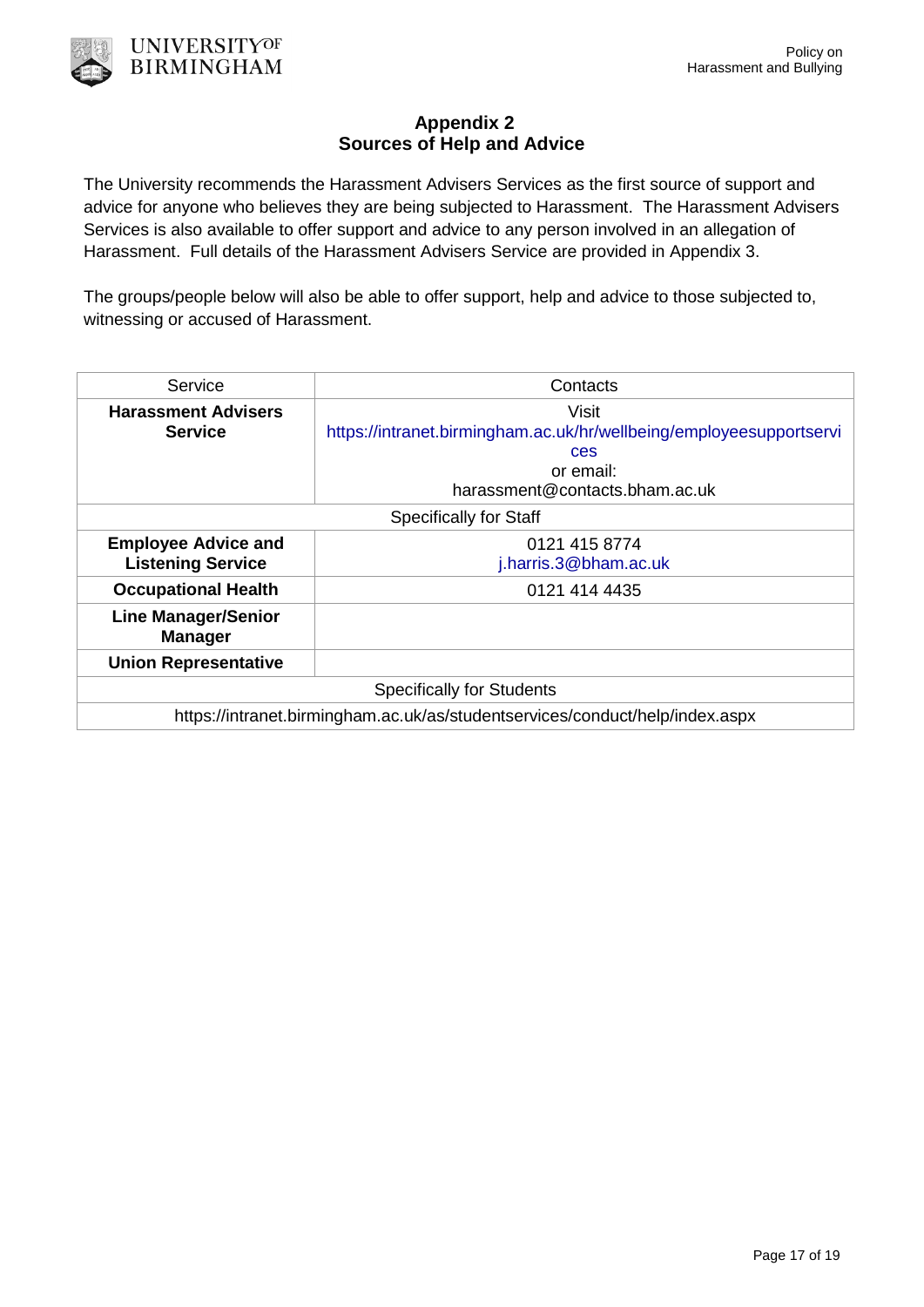# **Appendix 2 Sources of Help and Advice**

The University recommends the Harassment Advisers Services as the first source of support and advice for anyone who believes they are being subjected to Harassment. The Harassment Advisers Services is also available to offer support and advice to any person involved in an allegation of Harassment. Full details of the Harassment Advisers Service are provided in Appendix 3.

The groups/people below will also be able to offer support, help and advice to those subjected to, witnessing or accused of Harassment.

| Service                                                                      | Contacts                                                            |
|------------------------------------------------------------------------------|---------------------------------------------------------------------|
| <b>Harassment Advisers</b>                                                   | Visit                                                               |
| <b>Service</b>                                                               | https://intranet.birmingham.ac.uk/hr/wellbeing/employeesupportservi |
|                                                                              | ces                                                                 |
|                                                                              | or email:                                                           |
|                                                                              | harassment@contacts.bham.ac.uk                                      |
| <b>Specifically for Staff</b>                                                |                                                                     |
| <b>Employee Advice and</b>                                                   | 0121 415 8774                                                       |
| <b>Listening Service</b>                                                     | j.harris.3@bham.ac.uk                                               |
| <b>Occupational Health</b>                                                   | 0121 414 4435                                                       |
| <b>Line Manager/Senior</b><br><b>Manager</b>                                 |                                                                     |
| <b>Union Representative</b>                                                  |                                                                     |
| <b>Specifically for Students</b>                                             |                                                                     |
| https://intranet.birmingham.ac.uk/as/studentservices/conduct/help/index.aspx |                                                                     |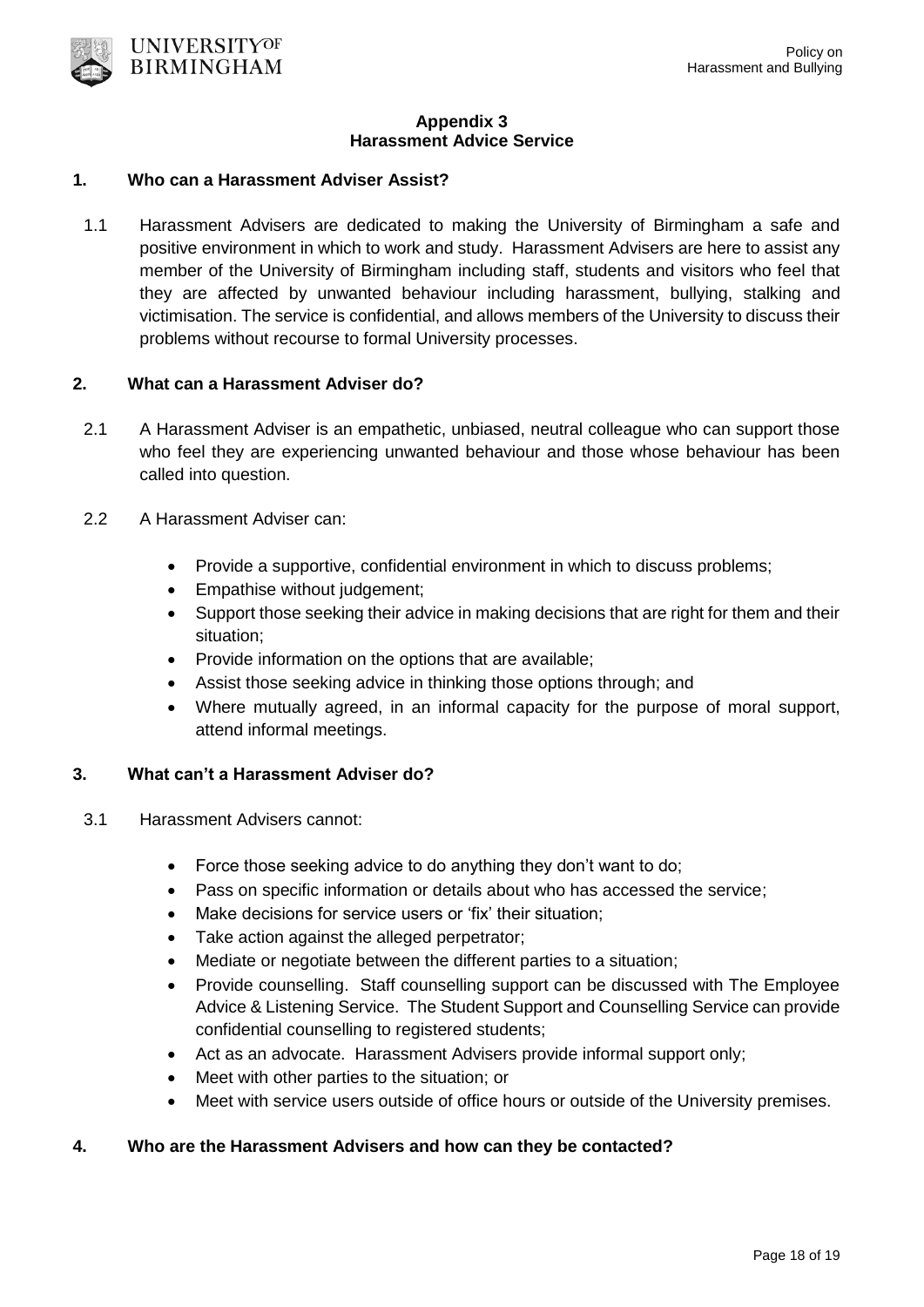

#### **Appendix 3 Harassment Advice Service**

## **1. Who can a Harassment Adviser Assist?**

1.1 Harassment Advisers are dedicated to making the University of Birmingham a safe and positive environment in which to work and study. Harassment Advisers are here to assist any member of the University of Birmingham including staff, students and visitors who feel that they are affected by unwanted behaviour including harassment, bullying, stalking and victimisation. The service is confidential, and allows members of the University to discuss their problems without recourse to formal University processes.

### **2. What can a Harassment Adviser do?**

- 2.1 A Harassment Adviser is an empathetic, unbiased, neutral colleague who can support those who feel they are experiencing unwanted behaviour and those whose behaviour has been called into question.
- 2.2 A Harassment Adviser can:
	- Provide a supportive, confidential environment in which to discuss problems;
	- Empathise without judgement;
	- Support those seeking their advice in making decisions that are right for them and their situation;
	- Provide information on the options that are available;
	- Assist those seeking advice in thinking those options through; and
	- Where mutually agreed, in an informal capacity for the purpose of moral support, attend informal meetings.

### **3. What can't a Harassment Adviser do?**

- 3.1 Harassment Advisers cannot:
	- Force those seeking advice to do anything they don't want to do;
	- Pass on specific information or details about who has accessed the service;
	- Make decisions for service users or 'fix' their situation;
	- Take action against the alleged perpetrator;
	- Mediate or negotiate between the different parties to a situation;
	- Provide counselling. Staff counselling support can be discussed with The Employee Advice & Listening Service. The Student Support and Counselling Service can provide confidential counselling to registered students;
	- Act as an advocate. Harassment Advisers provide informal support only;
	- Meet with other parties to the situation; or
	- Meet with service users outside of office hours or outside of the University premises.

### **4. Who are the Harassment Advisers and how can they be contacted?**